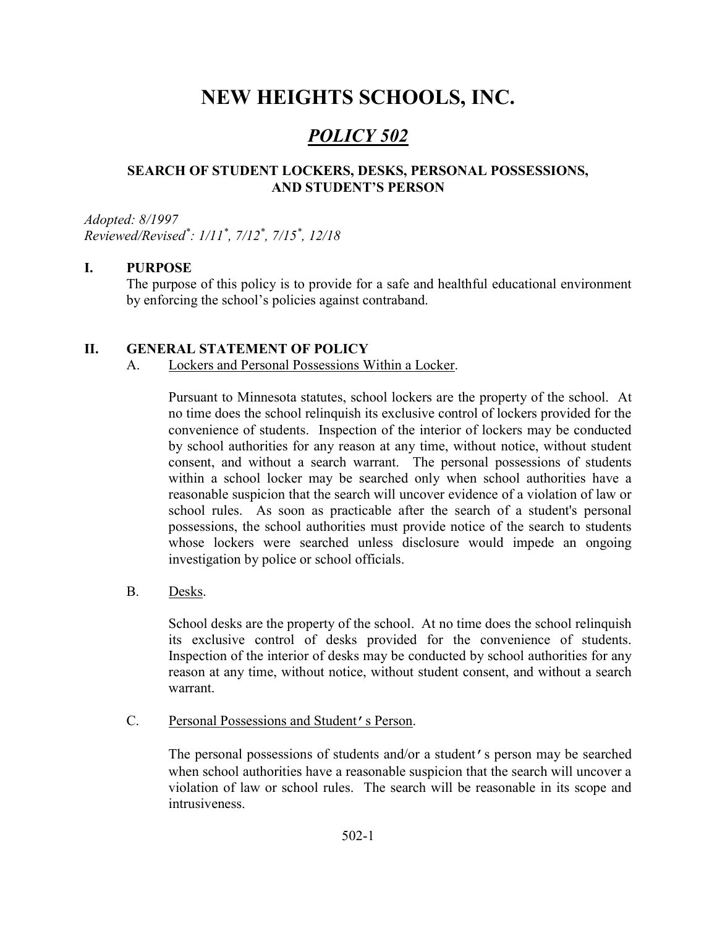# NEW HEIGHTS SCHOOLS, INC.

## POLICY 502

## SEARCH OF STUDENT LOCKERS, DESKS, PERSONAL POSSESSIONS, AND STUDENT'S PERSON

Adopted: 8/1997 Reviewed/Revised\* : 1/11\* , 7/12\* , 7/15\* , 12/18

## I. PURPOSE

The purpose of this policy is to provide for a safe and healthful educational environment by enforcing the school's policies against contraband.

## II. GENERAL STATEMENT OF POLICY

A. Lockers and Personal Possessions Within a Locker.

Pursuant to Minnesota statutes, school lockers are the property of the school. At no time does the school relinquish its exclusive control of lockers provided for the convenience of students. Inspection of the interior of lockers may be conducted by school authorities for any reason at any time, without notice, without student consent, and without a search warrant. The personal possessions of students within a school locker may be searched only when school authorities have a reasonable suspicion that the search will uncover evidence of a violation of law or school rules. As soon as practicable after the search of a student's personal possessions, the school authorities must provide notice of the search to students whose lockers were searched unless disclosure would impede an ongoing investigation by police or school officials.

B. Desks.

School desks are the property of the school. At no time does the school relinquish its exclusive control of desks provided for the convenience of students. Inspection of the interior of desks may be conducted by school authorities for any reason at any time, without notice, without student consent, and without a search warrant.

C. Personal Possessions and Student's Person.

The personal possessions of students and/or a student's person may be searched when school authorities have a reasonable suspicion that the search will uncover a violation of law or school rules. The search will be reasonable in its scope and intrusiveness.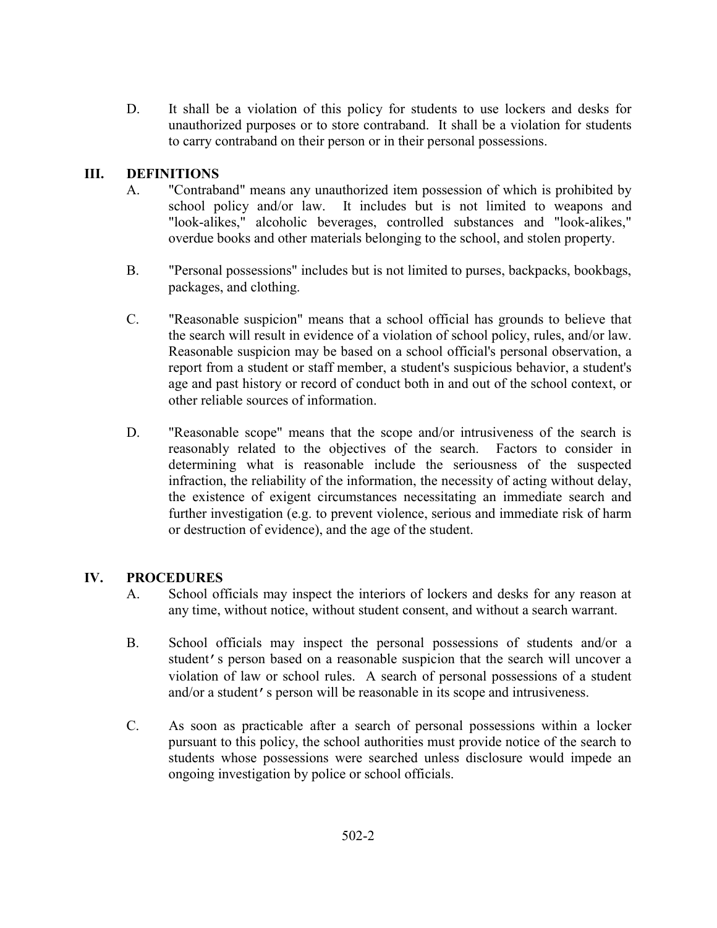D. It shall be a violation of this policy for students to use lockers and desks for unauthorized purposes or to store contraband. It shall be a violation for students to carry contraband on their person or in their personal possessions.

## III. DEFINITIONS

- A. "Contraband" means any unauthorized item possession of which is prohibited by school policy and/or law. It includes but is not limited to weapons and "look-alikes," alcoholic beverages, controlled substances and "look-alikes," overdue books and other materials belonging to the school, and stolen property.
- B. "Personal possessions" includes but is not limited to purses, backpacks, bookbags, packages, and clothing.
- C. "Reasonable suspicion" means that a school official has grounds to believe that the search will result in evidence of a violation of school policy, rules, and/or law. Reasonable suspicion may be based on a school official's personal observation, a report from a student or staff member, a student's suspicious behavior, a student's age and past history or record of conduct both in and out of the school context, or other reliable sources of information.
- D. "Reasonable scope" means that the scope and/or intrusiveness of the search is reasonably related to the objectives of the search. Factors to consider in determining what is reasonable include the seriousness of the suspected infraction, the reliability of the information, the necessity of acting without delay, the existence of exigent circumstances necessitating an immediate search and further investigation (e.g. to prevent violence, serious and immediate risk of harm or destruction of evidence), and the age of the student.

## IV. PROCEDURES

- A. School officials may inspect the interiors of lockers and desks for any reason at any time, without notice, without student consent, and without a search warrant.
- B. School officials may inspect the personal possessions of students and/or a student's person based on a reasonable suspicion that the search will uncover a violation of law or school rules. A search of personal possessions of a student and/or a student's person will be reasonable in its scope and intrusiveness.
- C. As soon as practicable after a search of personal possessions within a locker pursuant to this policy, the school authorities must provide notice of the search to students whose possessions were searched unless disclosure would impede an ongoing investigation by police or school officials.